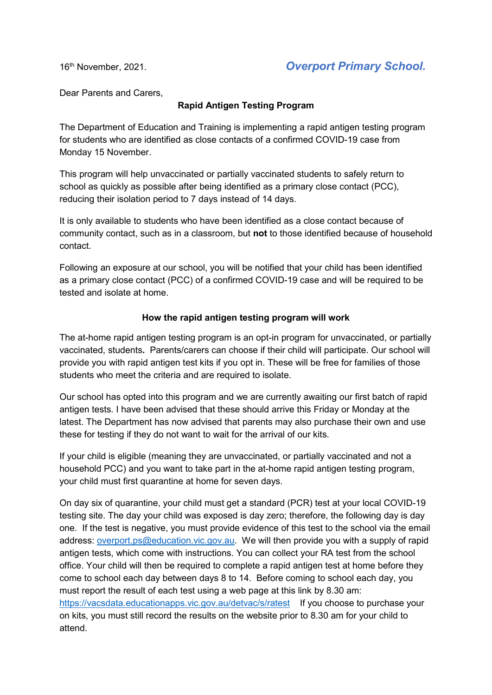16th November, 2021. *Overport Primary School.*

Dear Parents and Carers,

## **Rapid Antigen Testing Program**

The Department of Education and Training is implementing a rapid antigen testing program for students who are identified as close contacts of a confirmed COVID-19 case from Monday 15 November.

This program will help unvaccinated or partially vaccinated students to safely return to school as quickly as possible after being identified as a primary close contact (PCC), reducing their isolation period to 7 days instead of 14 days.

It is only available to students who have been identified as a close contact because of community contact, such as in a classroom, but **not** to those identified because of household contact.

Following an exposure at our school, you will be notified that your child has been identified as a primary close contact (PCC) of a confirmed COVID-19 case and will be required to be tested and isolate at home.

## **How the rapid antigen testing program will work**

The at-home rapid antigen testing program is an opt-in program for unvaccinated, or partially vaccinated, students**.** Parents/carers can choose if their child will participate. Our school will provide you with rapid antigen test kits if you opt in. These will be free for families of those students who meet the criteria and are required to isolate.

Our school has opted into this program and we are currently awaiting our first batch of rapid antigen tests. I have been advised that these should arrive this Friday or Monday at the latest. The Department has now advised that parents may also purchase their own and use these for testing if they do not want to wait for the arrival of our kits.

If your child is eligible (meaning they are unvaccinated, or partially vaccinated and not a household PCC) and you want to take part in the at-home rapid antigen testing program, your child must first quarantine at home for seven days.

On day six of quarantine, your child must get a standard (PCR) test at your local COVID-19 testing site. The day your child was exposed is day zero; therefore, the following day is day one. If the test is negative, you must provide evidence of this test to the school via the email address: [overport.ps@education.vic.gov.au.](mailto:overport.ps@education.vic.gov.au) We will then provide you with a supply of rapid antigen tests, which come with instructions. You can collect your RA test from the school office. Your child will then be required to complete a rapid antigen test at home before they come to school each day between days 8 to 14. Before coming to school each day, you must report the result of each test using a web page at this link by 8.30 am: <https://vacsdata.educationapps.vic.gov.au/detvac/s/ratest> If you choose to purchase your on kits, you must still record the results on the website prior to 8.30 am for your child to attend.